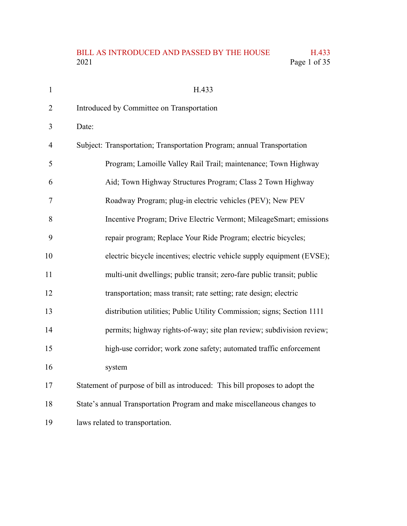# BILL AS INTRODUCED AND PASSED BY THE HOUSE H.433<br>2021 Page 1 of 35 Page 1 of 35

| $\mathbf{1}$   | H.433                                                                       |
|----------------|-----------------------------------------------------------------------------|
| $\overline{2}$ | Introduced by Committee on Transportation                                   |
| 3              | Date:                                                                       |
| $\overline{4}$ | Subject: Transportation; Transportation Program; annual Transportation      |
| 5              | Program; Lamoille Valley Rail Trail; maintenance; Town Highway              |
| 6              | Aid; Town Highway Structures Program; Class 2 Town Highway                  |
| 7              | Roadway Program; plug-in electric vehicles (PEV); New PEV                   |
| 8              | Incentive Program; Drive Electric Vermont; MileageSmart; emissions          |
| 9              | repair program; Replace Your Ride Program; electric bicycles;               |
| 10             | electric bicycle incentives; electric vehicle supply equipment (EVSE);      |
| 11             | multi-unit dwellings; public transit; zero-fare public transit; public      |
| 12             | transportation; mass transit; rate setting; rate design; electric           |
| 13             | distribution utilities; Public Utility Commission; signs; Section 1111      |
| 14             | permits; highway rights-of-way; site plan review; subdivision review;       |
| 15             | high-use corridor; work zone safety; automated traffic enforcement          |
| 16             | system                                                                      |
| 17             | Statement of purpose of bill as introduced: This bill proposes to adopt the |
| 18             | State's annual Transportation Program and make miscellaneous changes to     |
| 19             | laws related to transportation.                                             |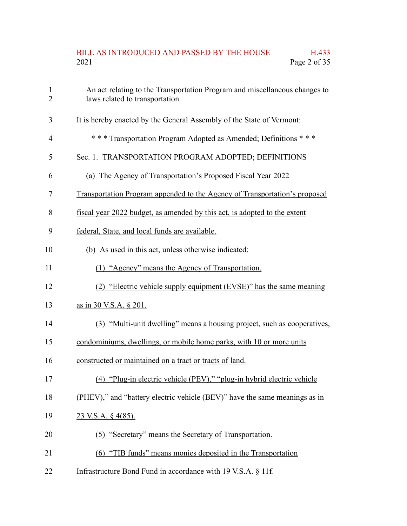# BILL AS INTRODUCED AND PASSED BY THE HOUSE H.433<br>2021 Page 2 of 35 Page 2 of 35

| $\mathbf{1}$<br>$\overline{2}$ | An act relating to the Transportation Program and miscellaneous changes to<br>laws related to transportation |
|--------------------------------|--------------------------------------------------------------------------------------------------------------|
| 3                              | It is hereby enacted by the General Assembly of the State of Vermont:                                        |
| $\overline{4}$                 | *** Transportation Program Adopted as Amended; Definitions ***                                               |
| 5                              | Sec. 1. TRANSPORTATION PROGRAM ADOPTED; DEFINITIONS                                                          |
| 6                              | (a) The Agency of Transportation's Proposed Fiscal Year 2022                                                 |
| 7                              | Transportation Program appended to the Agency of Transportation's proposed                                   |
| 8                              | fiscal year 2022 budget, as amended by this act, is adopted to the extent                                    |
| 9                              | federal, State, and local funds are available.                                                               |
| 10                             | (b) As used in this act, unless otherwise indicated:                                                         |
| 11                             | (1) "Agency" means the Agency of Transportation.                                                             |
| 12                             | (2) "Electric vehicle supply equipment (EVSE)" has the same meaning                                          |
| 13                             | as in 30 V.S.A. § 201.                                                                                       |
| 14                             | (3) "Multi-unit dwelling" means a housing project, such as cooperatives,                                     |
| 15                             | condominiums, dwellings, or mobile home parks, with 10 or more units                                         |
| 16                             | constructed or maintained on a tract or tracts of land.                                                      |
| 17                             | (4) "Plug-in electric vehicle (PEV)," "plug-in hybrid electric vehicle                                       |
| 18                             | (PHEV)," and "battery electric vehicle (BEV)" have the same meanings as in                                   |
| 19                             | <u>23 V.S.A. § 4(85).</u>                                                                                    |
| 20                             | (5) "Secretary" means the Secretary of Transportation.                                                       |
| 21                             | (6) "TIB funds" means monies deposited in the Transportation                                                 |
| 22                             | Infrastructure Bond Fund in accordance with 19 V.S.A. § 11f.                                                 |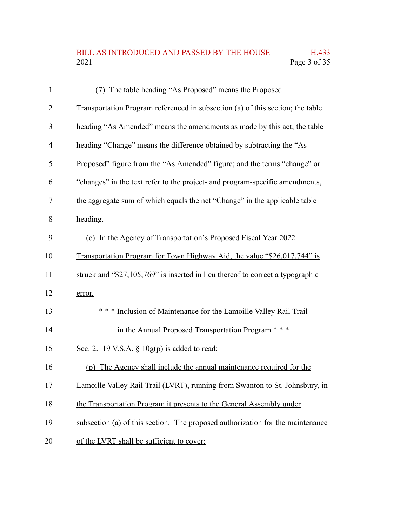# BILL AS INTRODUCED AND PASSED BY THE HOUSE H.433<br>2021 Page 3 of 35 Page 3 of 35

| $\mathbf{1}$ | (7) The table heading "As Proposed" means the Proposed                         |
|--------------|--------------------------------------------------------------------------------|
| 2            | Transportation Program referenced in subsection (a) of this section; the table |
| 3            | heading "As Amended" means the amendments as made by this act; the table       |
| 4            | heading "Change" means the difference obtained by subtracting the "As          |
| 5            | Proposed" figure from the "As Amended" figure; and the terms "change" or       |
| 6            | "changes" in the text refer to the project- and program-specific amendments,   |
| 7            | the aggregate sum of which equals the net "Change" in the applicable table     |
| 8            | heading.                                                                       |
| 9            | (c) In the Agency of Transportation's Proposed Fiscal Year 2022                |
| 10           | Transportation Program for Town Highway Aid, the value "\$26,017,744" is       |
| 11           | struck and "\$27,105,769" is inserted in lieu thereof to correct a typographic |
| 12           | error.                                                                         |
| 13           | *** Inclusion of Maintenance for the Lamoille Valley Rail Trail                |
| 14           | in the Annual Proposed Transportation Program * * *                            |
| 15           | Sec. 2. 19 V.S.A. $\S$ 10g(p) is added to read:                                |
| 16           | (p) The Agency shall include the annual maintenance required for the           |
| 17           | Lamoille Valley Rail Trail (LVRT), running from Swanton to St. Johnsbury, in   |
| 18           | the Transportation Program it presents to the General Assembly under           |
| 19           | subsection (a) of this section. The proposed authorization for the maintenance |
| 20           | of the LVRT shall be sufficient to cover:                                      |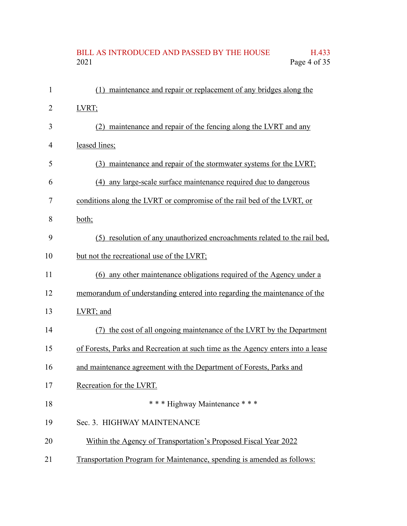# BILL AS INTRODUCED AND PASSED BY THE HOUSE H.433<br>2021 Page 4 of 35 Page 4 of 35

| 1  | (1) maintenance and repair or replacement of any bridges along the              |
|----|---------------------------------------------------------------------------------|
| 2  | LVRT;                                                                           |
| 3  | (2) maintenance and repair of the fencing along the LVRT and any                |
| 4  | leased lines;                                                                   |
| 5  | (3) maintenance and repair of the stormwater systems for the LVRT;              |
| 6  | (4) any large-scale surface maintenance required due to dangerous               |
| 7  | conditions along the LVRT or compromise of the rail bed of the LVRT, or         |
| 8  | both;                                                                           |
| 9  | (5) resolution of any unauthorized encroachments related to the rail bed,       |
| 10 | but not the recreational use of the LVRT;                                       |
| 11 | (6) any other maintenance obligations required of the Agency under a            |
| 12 | memorandum of understanding entered into regarding the maintenance of the       |
| 13 | LVRT; and                                                                       |
| 14 | the cost of all ongoing maintenance of the LVRT by the Department<br>(7)        |
| 15 | of Forests, Parks and Recreation at such time as the Agency enters into a lease |
| 16 | and maintenance agreement with the Department of Forests, Parks and             |
| 17 | Recreation for the LVRT.                                                        |
| 18 | *** Highway Maintenance ***                                                     |
| 19 | Sec. 3. HIGHWAY MAINTENANCE                                                     |
| 20 | Within the Agency of Transportation's Proposed Fiscal Year 2022                 |
| 21 | Transportation Program for Maintenance, spending is amended as follows:         |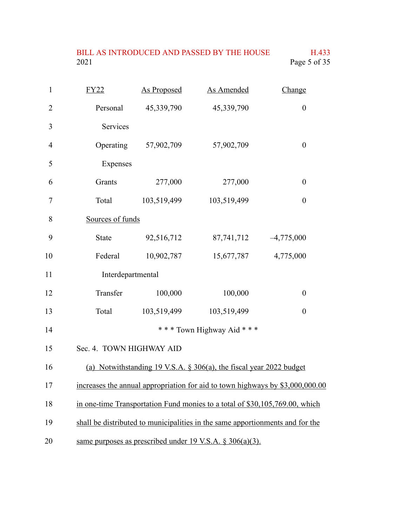# BILL AS INTRODUCED AND PASSED BY THE HOUSE H.433<br>2021 Page 5 of 35

| $\mathbf{1}$   | FY22                     | <b>As Proposed</b> | <b>As Amended</b>                                                             | Change                                                                        |
|----------------|--------------------------|--------------------|-------------------------------------------------------------------------------|-------------------------------------------------------------------------------|
| 2              | Personal                 | 45,339,790         | 45,339,790                                                                    | $\boldsymbol{0}$                                                              |
| 3              | Services                 |                    |                                                                               |                                                                               |
| $\overline{4}$ | Operating                | 57,902,709         | 57,902,709                                                                    | $\boldsymbol{0}$                                                              |
| 5              | Expenses                 |                    |                                                                               |                                                                               |
| 6              | Grants                   | 277,000            | 277,000                                                                       | $\boldsymbol{0}$                                                              |
| $\overline{7}$ | Total                    | 103,519,499        | 103,519,499                                                                   | $\boldsymbol{0}$                                                              |
| 8              | Sources of funds         |                    |                                                                               |                                                                               |
| 9              | <b>State</b>             | 92,516,712         | 87,741,712                                                                    | $-4,775,000$                                                                  |
| 10             | Federal                  | 10,902,787         | 15,677,787                                                                    | 4,775,000                                                                     |
| 11             | Interdepartmental        |                    |                                                                               |                                                                               |
| 12             | Transfer                 | 100,000            | 100,000                                                                       | $\boldsymbol{0}$                                                              |
| 13             | Total                    | 103,519,499        | 103,519,499                                                                   | $\boldsymbol{0}$                                                              |
| 14             |                          |                    | *** Town Highway Aid ***                                                      |                                                                               |
| 15             | Sec. 4. TOWN HIGHWAY AID |                    |                                                                               |                                                                               |
| 16             |                          |                    | (a) Notwithstanding 19 V.S.A. § 306(a), the fiscal year 2022 budget           |                                                                               |
| 17             |                          |                    |                                                                               | increases the annual appropriation for aid to town highways by \$3,000,000.00 |
| 18             |                          |                    | in one-time Transportation Fund monies to a total of \$30,105,769.00, which   |                                                                               |
| 19             |                          |                    | shall be distributed to municipalities in the same apportionments and for the |                                                                               |
| 20             |                          |                    | same purposes as prescribed under 19 V.S.A. $\S 306(a)(3)$ .                  |                                                                               |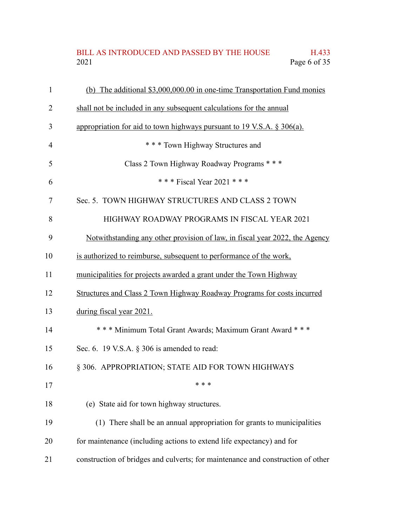## BILL AS INTRODUCED AND PASSED BY THE HOUSE H.433<br>2021 Page 6 of 35 Page 6 of 35

| $\mathbf{1}$   | (b) The additional \$3,000,000.00 in one-time Transportation Fund monies        |
|----------------|---------------------------------------------------------------------------------|
| $\overline{2}$ | shall not be included in any subsequent calculations for the annual             |
| 3              | appropriation for aid to town highways pursuant to 19 V.S.A. $\S 306(a)$ .      |
| $\overline{4}$ | *** Town Highway Structures and                                                 |
| 5              | Class 2 Town Highway Roadway Programs * * *                                     |
| 6              | * * * Fiscal Year 2021 * * *                                                    |
| 7              | Sec. 5. TOWN HIGHWAY STRUCTURES AND CLASS 2 TOWN                                |
| 8              | HIGHWAY ROADWAY PROGRAMS IN FISCAL YEAR 2021                                    |
| 9              | Notwithstanding any other provision of law, in fiscal year 2022, the Agency     |
| 10             | is authorized to reimburse, subsequent to performance of the work,              |
| 11             | municipalities for projects awarded a grant under the Town Highway              |
| 12             | Structures and Class 2 Town Highway Roadway Programs for costs incurred         |
| 13             | during fiscal year 2021.                                                        |
| 14             | *** Minimum Total Grant Awards; Maximum Grant Award ***                         |
| 15             | Sec. 6. 19 V.S.A. § 306 is amended to read:                                     |
| 16             | § 306. APPROPRIATION; STATE AID FOR TOWN HIGHWAYS                               |
| 17             | * * *                                                                           |
| 18             | (e) State aid for town highway structures.                                      |
| 19             | (1) There shall be an annual appropriation for grants to municipalities         |
| 20             | for maintenance (including actions to extend life expectancy) and for           |
| 21             | construction of bridges and culverts; for maintenance and construction of other |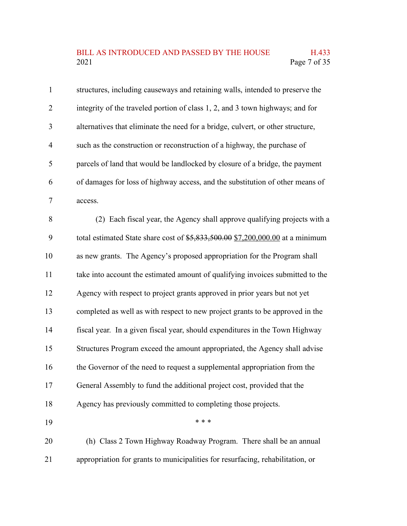## BILL AS INTRODUCED AND PASSED BY THE HOUSE H.433<br>2021 Page 7 of 35 Page 7 of 35

| $\mathbf{1}$   | structures, including causeways and retaining walls, intended to preserve the   |
|----------------|---------------------------------------------------------------------------------|
| $\overline{2}$ | integrity of the traveled portion of class 1, 2, and 3 town highways; and for   |
| 3              | alternatives that eliminate the need for a bridge, culvert, or other structure, |
| 4              | such as the construction or reconstruction of a highway, the purchase of        |
| 5              | parcels of land that would be landlocked by closure of a bridge, the payment    |
| 6              | of damages for loss of highway access, and the substitution of other means of   |
| 7              | access.                                                                         |
| 8              | (2) Each fiscal year, the Agency shall approve qualifying projects with a       |
| 9              | total estimated State share cost of $$5,833,500.00 $7,200,000.00$ at a minimum  |
| 10             | as new grants. The Agency's proposed appropriation for the Program shall        |
| 11             | take into account the estimated amount of qualifying invoices submitted to the  |
| 12             | Agency with respect to project grants approved in prior years but not yet       |
| 13             | completed as well as with respect to new project grants to be approved in the   |
| 14             | fiscal year. In a given fiscal year, should expenditures in the Town Highway    |
| 15             | Structures Program exceed the amount appropriated, the Agency shall advise      |
| 16             | the Governor of the need to request a supplemental appropriation from the       |
| 17             | General Assembly to fund the additional project cost, provided that the         |
| 18             | Agency has previously committed to completing those projects.                   |
| 19             | * * *                                                                           |
| 20             | (h) Class 2 Town Highway Roadway Program. There shall be an annual              |
| 21             | appropriation for grants to municipalities for resurfacing, rehabilitation, or  |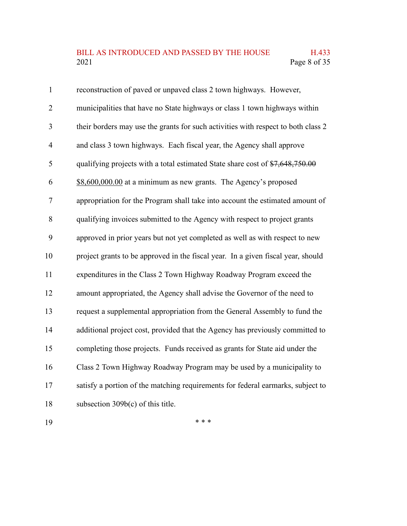# BILL AS INTRODUCED AND PASSED BY THE HOUSE H.433<br>2021 Page 8 of 35 Page 8 of 35

| $\mathbf{1}$   | reconstruction of paved or unpaved class 2 town highways. However,                |
|----------------|-----------------------------------------------------------------------------------|
| $\overline{2}$ | municipalities that have no State highways or class 1 town highways within        |
| 3              | their borders may use the grants for such activities with respect to both class 2 |
| $\overline{4}$ | and class 3 town highways. Each fiscal year, the Agency shall approve             |
| 5              | qualifying projects with a total estimated State share cost of \$7,648,750.00     |
| 6              | \$8,600,000.00 at a minimum as new grants. The Agency's proposed                  |
| $\overline{7}$ | appropriation for the Program shall take into account the estimated amount of     |
| 8              | qualifying invoices submitted to the Agency with respect to project grants        |
| 9              | approved in prior years but not yet completed as well as with respect to new      |
| 10             | project grants to be approved in the fiscal year. In a given fiscal year, should  |
| 11             | expenditures in the Class 2 Town Highway Roadway Program exceed the               |
| 12             | amount appropriated, the Agency shall advise the Governor of the need to          |
| 13             | request a supplemental appropriation from the General Assembly to fund the        |
| 14             | additional project cost, provided that the Agency has previously committed to     |
| 15             | completing those projects. Funds received as grants for State aid under the       |
| 16             | Class 2 Town Highway Roadway Program may be used by a municipality to             |
| 17             | satisfy a portion of the matching requirements for federal earmarks, subject to   |
| 18             | subsection $309b(c)$ of this title.                                               |

19

\* \* \*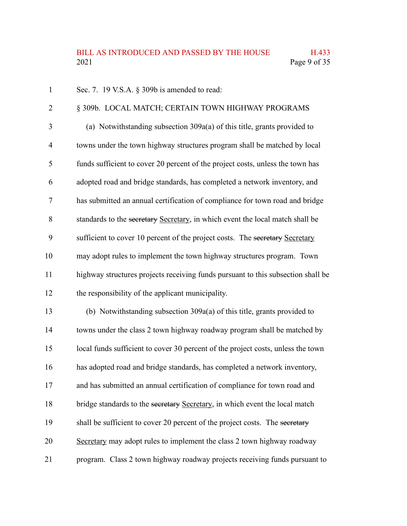| $\mathbf{1}$   | Sec. 7. 19 V.S.A. § 309b is amended to read:                                     |
|----------------|----------------------------------------------------------------------------------|
| $\overline{2}$ | § 309b. LOCAL MATCH; CERTAIN TOWN HIGHWAY PROGRAMS                               |
| 3              | (a) Notwithstanding subsection 309a(a) of this title, grants provided to         |
| 4              | towns under the town highway structures program shall be matched by local        |
| 5              | funds sufficient to cover 20 percent of the project costs, unless the town has   |
| 6              | adopted road and bridge standards, has completed a network inventory, and        |
| 7              | has submitted an annual certification of compliance for town road and bridge     |
| 8              | standards to the secretary Secretary, in which event the local match shall be    |
| 9              | sufficient to cover 10 percent of the project costs. The secretary Secretary     |
| 10             | may adopt rules to implement the town highway structures program. Town           |
| 11             | highway structures projects receiving funds pursuant to this subsection shall be |
| 12             | the responsibility of the applicant municipality.                                |
| 13             | (b) Notwithstanding subsection 309a(a) of this title, grants provided to         |
| 14             | towns under the class 2 town highway roadway program shall be matched by         |
| 15             | local funds sufficient to cover 30 percent of the project costs, unless the town |
| 16             | has adopted road and bridge standards, has completed a network inventory,        |
| 17             | and has submitted an annual certification of compliance for town road and        |
| 18             | bridge standards to the secretary Secretary, in which event the local match      |
| 19             | shall be sufficient to cover 20 percent of the project costs. The secretary      |
| 20             | Secretary may adopt rules to implement the class 2 town highway roadway          |
| 21             | program. Class 2 town highway roadway projects receiving funds pursuant to       |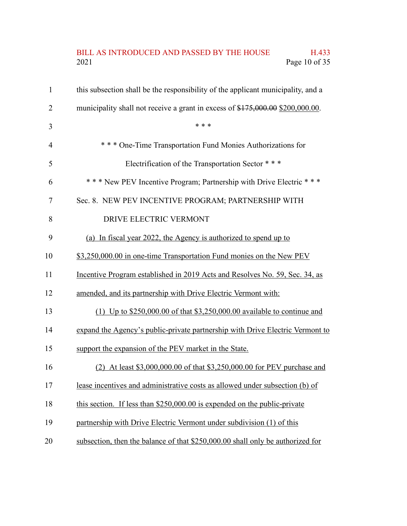# BILL AS INTRODUCED AND PASSED BY THE HOUSE H.433<br>2021 Page 10 of 35 Page 10 of 35

| $\mathbf{1}$   | this subsection shall be the responsibility of the applicant municipality, and a |
|----------------|----------------------------------------------------------------------------------|
| $\overline{2}$ | municipality shall not receive a grant in excess of \$175,000.00 \$200,000.00.   |
| 3              | * * *                                                                            |
| $\overline{4}$ | *** One-Time Transportation Fund Monies Authorizations for                       |
| 5              | Electrification of the Transportation Sector ***                                 |
| 6              | *** New PEV Incentive Program; Partnership with Drive Electric ***               |
| 7              | Sec. 8. NEW PEV INCENTIVE PROGRAM; PARTNERSHIP WITH                              |
| 8              | DRIVE ELECTRIC VERMONT                                                           |
| 9              | (a) In fiscal year 2022, the Agency is authorized to spend up to                 |
| 10             | \$3,250,000.00 in one-time Transportation Fund monies on the New PEV             |
| 11             | Incentive Program established in 2019 Acts and Resolves No. 59, Sec. 34, as      |
| 12             | amended, and its partnership with Drive Electric Vermont with:                   |
| 13             | (1) Up to $$250,000.00$ of that $$3,250,000.00$ available to continue and        |
| 14             | expand the Agency's public-private partnership with Drive Electric Vermont to    |
| 15             | support the expansion of the PEV market in the State.                            |
| 16             | (2) At least \$3,000,000.00 of that \$3,250,000.00 for PEV purchase and          |
| 17             | lease incentives and administrative costs as allowed under subsection (b) of     |
| 18             | this section. If less than $$250,000.00$ is expended on the public-private       |
| 19             | partnership with Drive Electric Vermont under subdivision (1) of this            |
| 20             | subsection, then the balance of that \$250,000.00 shall only be authorized for   |
|                |                                                                                  |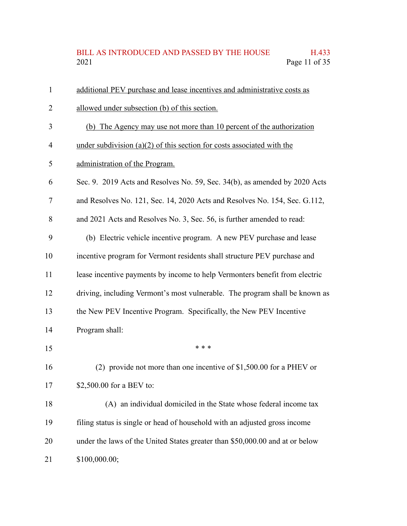# BILL AS INTRODUCED AND PASSED BY THE HOUSE H.433<br>2021 Page 11 of 35 Page 11 of 35

| $\mathbf{1}$   | additional PEV purchase and lease incentives and administrative costs as     |
|----------------|------------------------------------------------------------------------------|
| 2              | allowed under subsection (b) of this section.                                |
| 3              | (b) The Agency may use not more than 10 percent of the authorization         |
| $\overline{4}$ | under subdivision $(a)(2)$ of this section for costs associated with the     |
| 5              | administration of the Program.                                               |
| 6              | Sec. 9. 2019 Acts and Resolves No. 59, Sec. 34(b), as amended by 2020 Acts   |
| 7              | and Resolves No. 121, Sec. 14, 2020 Acts and Resolves No. 154, Sec. G.112,   |
| 8              | and 2021 Acts and Resolves No. 3, Sec. 56, is further amended to read:       |
| 9              | (b) Electric vehicle incentive program. A new PEV purchase and lease         |
| 10             | incentive program for Vermont residents shall structure PEV purchase and     |
| 11             | lease incentive payments by income to help Vermonters benefit from electric  |
| 12             | driving, including Vermont's most vulnerable. The program shall be known as  |
| 13             | the New PEV Incentive Program. Specifically, the New PEV Incentive           |
| 14             | Program shall:                                                               |
| 15             | * * *                                                                        |
| 16             | (2) provide not more than one incentive of \$1,500.00 for a PHEV or          |
| 17             | \$2,500.00 for a BEV to:                                                     |
| 18             | (A) an individual domiciled in the State whose federal income tax            |
| 19             | filing status is single or head of household with an adjusted gross income   |
| 20             | under the laws of the United States greater than \$50,000.00 and at or below |
| 21             | \$100,000.00;                                                                |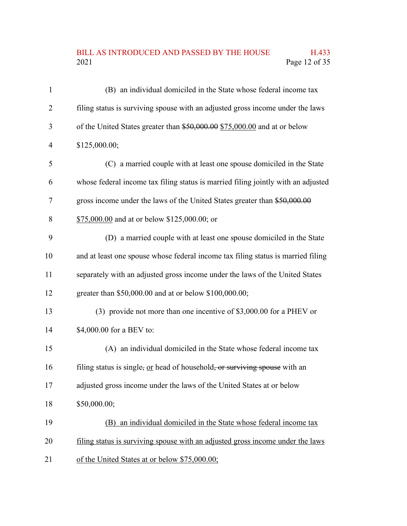## BILL AS INTRODUCED AND PASSED BY THE HOUSE H.433<br>2021 Page 12 of 35 Page 12 of 35

| $\mathbf{1}$   | (B) an individual domiciled in the State whose federal income tax                 |
|----------------|-----------------------------------------------------------------------------------|
| $\overline{2}$ | filing status is surviving spouse with an adjusted gross income under the laws    |
| 3              | of the United States greater than \$50,000.00 \$75,000.00 and at or below         |
| 4              | \$125,000.00;                                                                     |
| 5              | (C) a married couple with at least one spouse domiciled in the State              |
| 6              | whose federal income tax filing status is married filing jointly with an adjusted |
| 7              | gross income under the laws of the United States greater than \$50,000.00         |
| 8              | \$75,000.00 and at or below \$125,000.00; or                                      |
| 9              | (D) a married couple with at least one spouse domiciled in the State              |
| 10             | and at least one spouse whose federal income tax filing status is married filing  |
| 11             | separately with an adjusted gross income under the laws of the United States      |
| 12             | greater than \$50,000.00 and at or below \$100,000.00;                            |
| 13             | (3) provide not more than one incentive of \$3,000.00 for a PHEV or               |
| 14             | \$4,000.00 for a BEV to:                                                          |
| 15             | (A) an individual domiciled in the State whose federal income tax                 |
| 16             | filing status is single, or head of household, or surviving spouse with an        |
| 17             | adjusted gross income under the laws of the United States at or below             |
| 18             | \$50,000.00;                                                                      |
| 19             | (B) an individual domiciled in the State whose federal income tax                 |
| 20             | filing status is surviving spouse with an adjusted gross income under the laws    |
| 21             | of the United States at or below \$75,000.00;                                     |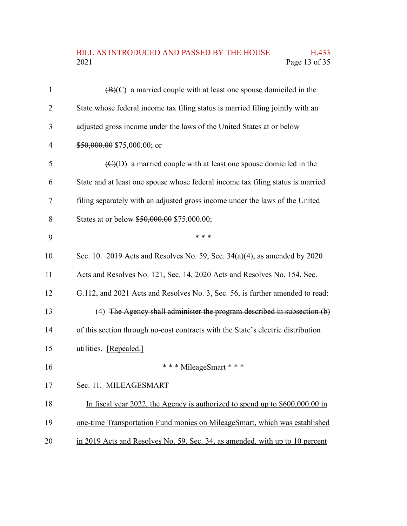## BILL AS INTRODUCED AND PASSED BY THE HOUSE H.433<br>2021 Page 13 of 35 Page 13 of 35

| $\mathbf{1}$ | $(\overline{B})(C)$ a married couple with at least one spouse domiciled in the   |
|--------------|----------------------------------------------------------------------------------|
| 2            | State whose federal income tax filing status is married filing jointly with an   |
| 3            | adjusted gross income under the laws of the United States at or below            |
| 4            | $$50,000.00 $75,000.00;$ or                                                      |
| 5            | $\overline{(C)(D)}$ a married couple with at least one spouse domiciled in the   |
| 6            | State and at least one spouse whose federal income tax filing status is married  |
| 7            | filing separately with an adjusted gross income under the laws of the United     |
| 8            | States at or below \$50,000.00 \$75,000.00;                                      |
| 9            | * * *                                                                            |
| 10           | Sec. 10. 2019 Acts and Resolves No. 59, Sec. $34(a)(4)$ , as amended by 2020     |
| 11           | Acts and Resolves No. 121, Sec. 14, 2020 Acts and Resolves No. 154, Sec.         |
| 12           | G.112, and 2021 Acts and Resolves No. 3, Sec. 56, is further amended to read:    |
| 13           | (4) The Agency shall administer the program described in subsection $(b)$        |
| 14           | of this section through no-cost contracts with the State's electric distribution |
| 15           | utilities. [Repealed.]                                                           |
| 16           | *** MileageSmart ***                                                             |
| 17           | Sec. 11. MILEAGESMART                                                            |
| 18           | In fiscal year 2022, the Agency is authorized to spend up to \$600,000.00 in     |
| 19           | one-time Transportation Fund monies on MileageSmart, which was established       |
| 20           | in 2019 Acts and Resolves No. 59, Sec. 34, as amended, with up to 10 percent     |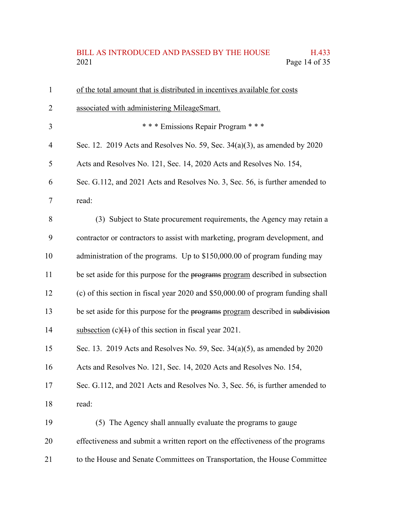## BILL AS INTRODUCED AND PASSED BY THE HOUSE H.433<br>2021 Page 14 of 35 Page 14 of 35

| $\mathbf{1}$   | of the total amount that is distributed in incentives available for costs        |
|----------------|----------------------------------------------------------------------------------|
| $\overline{2}$ | associated with administering MileageSmart.                                      |
| 3              | *** Emissions Repair Program ***                                                 |
| $\overline{4}$ | Sec. 12. 2019 Acts and Resolves No. 59, Sec. $34(a)(3)$ , as amended by 2020     |
| 5              | Acts and Resolves No. 121, Sec. 14, 2020 Acts and Resolves No. 154,              |
| 6              | Sec. G.112, and 2021 Acts and Resolves No. 3, Sec. 56, is further amended to     |
| 7              | read:                                                                            |
| 8              | (3) Subject to State procurement requirements, the Agency may retain a           |
| 9              | contractor or contractors to assist with marketing, program development, and     |
| 10             | administration of the programs. Up to \$150,000.00 of program funding may        |
| 11             | be set aside for this purpose for the programs program described in subsection   |
| 12             | (c) of this section in fiscal year 2020 and \$50,000.00 of program funding shall |
| 13             | be set aside for this purpose for the programs program described in subdivision  |
| 14             | subsection $(c)(1)$ of this section in fiscal year 2021.                         |
| 15             | Sec. 13. 2019 Acts and Resolves No. 59, Sec. 34(a)(5), as amended by 2020        |
| 16             | Acts and Resolves No. 121, Sec. 14, 2020 Acts and Resolves No. 154,              |
| 17             | Sec. G.112, and 2021 Acts and Resolves No. 3, Sec. 56, is further amended to     |
| 18             | read:                                                                            |
| 19             | (5) The Agency shall annually evaluate the programs to gauge                     |
| 20             | effectiveness and submit a written report on the effectiveness of the programs   |
| 21             | to the House and Senate Committees on Transportation, the House Committee        |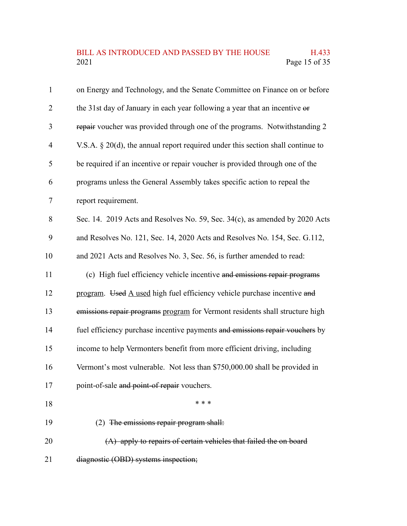## BILL AS INTRODUCED AND PASSED BY THE HOUSE H.433<br>2021 Page 15 of 35 Page 15 of 35

| $\mathbf{1}$   | on Energy and Technology, and the Senate Committee on Finance on or before          |
|----------------|-------------------------------------------------------------------------------------|
| $\overline{2}$ | the 31st day of January in each year following a year that an incentive or          |
| 3              | repair voucher was provided through one of the programs. Notwithstanding 2          |
| 4              | V.S.A. $\S 20(d)$ , the annual report required under this section shall continue to |
| 5              | be required if an incentive or repair voucher is provided through one of the        |
| 6              | programs unless the General Assembly takes specific action to repeal the            |
| 7              | report requirement.                                                                 |
| 8              | Sec. 14. 2019 Acts and Resolves No. 59, Sec. 34(c), as amended by 2020 Acts         |
| 9              | and Resolves No. 121, Sec. 14, 2020 Acts and Resolves No. 154, Sec. G.112,          |
| 10             | and 2021 Acts and Resolves No. 3, Sec. 56, is further amended to read:              |
| 11             | (c) High fuel efficiency vehicle incentive and emissions repair programs            |
| 12             | program. Used A used high fuel efficiency vehicle purchase incentive and            |
| 13             | emissions repair programs program for Vermont residents shall structure high        |
| 14             | fuel efficiency purchase incentive payments and emissions repair vouchers by        |
| 15             | income to help Vermonters benefit from more efficient driving, including            |
| 16             | Vermont's most vulnerable. Not less than \$750,000.00 shall be provided in          |
| 17             | point-of-sale and point-of repair vouchers.                                         |
| 18             | * * *                                                                               |
| 19             | (2) The emissions repair program shall:                                             |
| 20             | (A) apply to repairs of certain vehicles that failed the on board                   |
| 21             | diagnostic (OBD) systems inspection;                                                |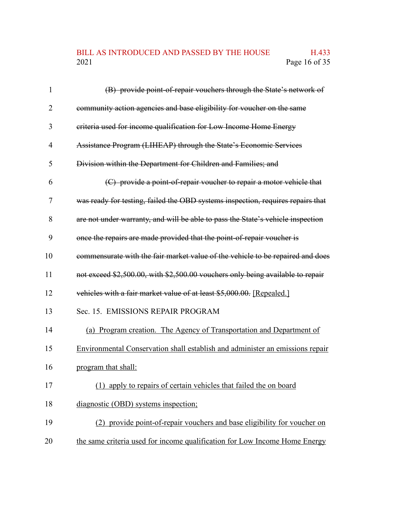## BILL AS INTRODUCED AND PASSED BY THE HOUSE H.433<br>2021 Page 16 of 35 Page 16 of 35

| $\mathbf{1}$ | (B) provide point-of-repair vouchers through the State's network of             |
|--------------|---------------------------------------------------------------------------------|
| 2            | community action agencies and base eligibility for voucher on the same          |
| 3            | criteria used for income qualification for Low Income Home Energy               |
| 4            | Assistance Program (LIHEAP) through the State's Economic Services               |
| 5            | Division within the Department for Children and Families; and                   |
| 6            | (C) provide a point-of-repair voucher to repair a motor vehicle that            |
| 7            | was ready for testing, failed the OBD systems inspection, requires repairs that |
| 8            | are not under warranty, and will be able to pass the State's vehicle inspection |
| 9            | once the repairs are made provided that the point-of-repair voucher is          |
| 10           | commensurate with the fair market value of the vehicle to be repaired and does  |
| 11           | not exceed \$2,500.00, with \$2,500.00 vouchers only being available to repair  |
| 12           | vehicles with a fair market value of at least \$5,000.00. [Repealed.]           |
| 13           | Sec. 15. EMISSIONS REPAIR PROGRAM                                               |
| 14           | (a) Program creation. The Agency of Transportation and Department of            |
| 15           | Environmental Conservation shall establish and administer an emissions repair   |
| 16           | program that shall:                                                             |
| 17           | (1) apply to repairs of certain vehicles that failed the on board               |
| 18           | diagnostic (OBD) systems inspection;                                            |
| 19           | (2) provide point-of-repair vouchers and base eligibility for voucher on        |
| 20           | the same criteria used for income qualification for Low Income Home Energy      |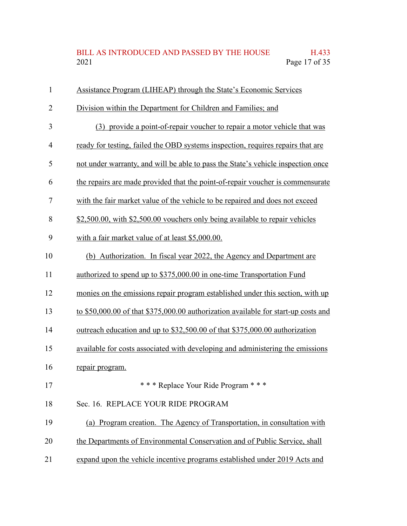BILL AS INTRODUCED AND PASSED BY THE HOUSE H.433<br>2021 Page 17 of 35 Page 17 of 35

| $\mathbf{1}$   | Assistance Program (LIHEAP) through the State's Economic Services                  |
|----------------|------------------------------------------------------------------------------------|
| $\overline{2}$ | Division within the Department for Children and Families; and                      |
| 3              | (3) provide a point-of-repair voucher to repair a motor vehicle that was           |
| $\overline{4}$ | ready for testing, failed the OBD systems inspection, requires repairs that are    |
| 5              | not under warranty, and will be able to pass the State's vehicle inspection once   |
| 6              | the repairs are made provided that the point-of-repair voucher is commensurate     |
| $\overline{7}$ | with the fair market value of the vehicle to be repaired and does not exceed       |
| 8              | \$2,500.00, with \$2,500.00 vouchers only being available to repair vehicles       |
| 9              | with a fair market value of at least \$5,000.00.                                   |
| 10             | (b) Authorization. In fiscal year 2022, the Agency and Department are              |
| 11             | authorized to spend up to \$375,000.00 in one-time Transportation Fund             |
| 12             | monies on the emissions repair program established under this section, with up     |
| 13             | to \$50,000.00 of that \$375,000.00 authorization available for start-up costs and |
| 14             | outreach education and up to \$32,500.00 of that \$375,000.00 authorization        |
| 15             | available for costs associated with developing and administering the emissions     |
| 16             | repair program.                                                                    |
| 17             | *** Replace Your Ride Program ***                                                  |
| 18             | Sec. 16. REPLACE YOUR RIDE PROGRAM                                                 |
| 19             | (a) Program creation. The Agency of Transportation, in consultation with           |
| 20             | the Departments of Environmental Conservation and of Public Service, shall         |
| 21             | expand upon the vehicle incentive programs established under 2019 Acts and         |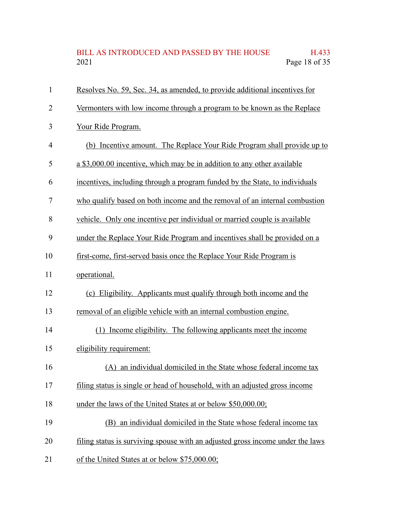# BILL AS INTRODUCED AND PASSED BY THE HOUSE H.433<br>2021 Page 18 of 35 Page 18 of 35

| $\mathbf{1}$   | Resolves No. 59, Sec. 34, as amended, to provide additional incentives for     |
|----------------|--------------------------------------------------------------------------------|
| 2              | Vermonters with low income through a program to be known as the Replace        |
| 3              | Your Ride Program.                                                             |
| $\overline{4}$ | (b) Incentive amount. The Replace Your Ride Program shall provide up to        |
| 5              | a \$3,000.00 incentive, which may be in addition to any other available        |
| 6              | incentives, including through a program funded by the State, to individuals    |
| 7              | who qualify based on both income and the removal of an internal combustion     |
| 8              | vehicle. Only one incentive per individual or married couple is available      |
| 9              | under the Replace Your Ride Program and incentives shall be provided on a      |
| 10             | first-come, first-served basis once the Replace Your Ride Program is           |
| 11             | operational.                                                                   |
| 12             | (c) Eligibility. Applicants must qualify through both income and the           |
| 13             | removal of an eligible vehicle with an internal combustion engine.             |
| 14             | (1) Income eligibility. The following applicants meet the income               |
| 15             | eligibility requirement:                                                       |
| 16             | (A) an individual domiciled in the State whose federal income tax              |
| 17             | filing status is single or head of household, with an adjusted gross income    |
| 18             | under the laws of the United States at or below \$50,000.00;                   |
| 19             | (B) an individual domiciled in the State whose federal income tax              |
| 20             | filing status is surviving spouse with an adjusted gross income under the laws |
| 21             | of the United States at or below \$75,000.00;                                  |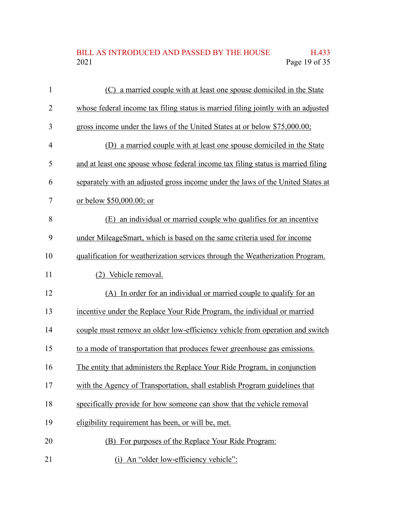## BILL AS INTRODUCED AND PASSED BY THE HOUSE H.433<br>2021 Page 19 of 35 Page 19 of 35

| $\mathbf{1}$   | (C) a married couple with at least one spouse domiciled in the State              |
|----------------|-----------------------------------------------------------------------------------|
| $\overline{2}$ | whose federal income tax filing status is married filing jointly with an adjusted |
| 3              | gross income under the laws of the United States at or below \$75,000.00;         |
| $\overline{4}$ | (D) a married couple with at least one spouse domiciled in the State              |
| 5              | and at least one spouse whose federal income tax filing status is married filing  |
| 6              | separately with an adjusted gross income under the laws of the United States at   |
| 7              | or below \$50,000.00; or                                                          |
| 8              | an individual or married couple who qualifies for an incentive<br>(E)             |
| 9              | under MileageSmart, which is based on the same criteria used for income           |
| 10             | qualification for weatherization services through the Weatherization Program.     |
| 11             | (2) Vehicle removal.                                                              |
| 12             | (A) In order for an individual or married couple to qualify for an                |
| 13             | incentive under the Replace Your Ride Program, the individual or married          |
| 14             | couple must remove an older low-efficiency vehicle from operation and switch      |
| 15             | to a mode of transportation that produces fewer greenhouse gas emissions.         |
| 16             | The entity that administers the Replace Your Ride Program, in conjunction         |
| 17             | with the Agency of Transportation, shall establish Program guidelines that        |
| 18             | specifically provide for how someone can show that the vehicle removal            |
| 19             | eligibility requirement has been, or will be, met.                                |
| 20             | (B) For purposes of the Replace Your Ride Program:                                |
| 21             | (i) An "older low-efficiency vehicle":                                            |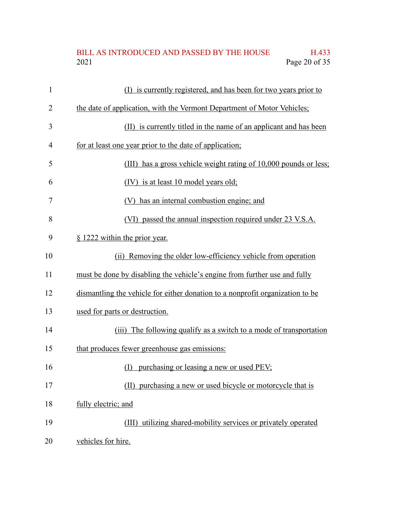## BILL AS INTRODUCED AND PASSED BY THE HOUSE H.433<br>2021 Page 20 of 35 Page 20 of 35

| $\mathbf{1}$ | (I) is currently registered, and has been for two years prior to              |
|--------------|-------------------------------------------------------------------------------|
| 2            | the date of application, with the Vermont Department of Motor Vehicles;       |
| 3            | (II) is currently titled in the name of an applicant and has been             |
| 4            | for at least one year prior to the date of application;                       |
| 5            | (III) has a gross vehicle weight rating of 10,000 pounds or less;             |
| 6            | (IV) is at least 10 model years old;                                          |
| 7            | (V) has an internal combustion engine; and                                    |
| 8            | (VI) passed the annual inspection required under 23 V.S.A.                    |
| 9            | § 1222 within the prior year.                                                 |
| 10           | (ii) Removing the older low-efficiency vehicle from operation                 |
| 11           | must be done by disabling the vehicle's engine from further use and fully     |
| 12           | dismantling the vehicle for either donation to a nonprofit organization to be |
| 13           | used for parts or destruction.                                                |
| 14           | (iii) The following qualify as a switch to a mode of transportation           |
| 15           | that produces fewer greenhouse gas emissions:                                 |
| 16           | purchasing or leasing a new or used PEV;<br>(I)                               |
| 17           | (II) purchasing a new or used bicycle or motorcycle that is                   |
| 18           | fully electric; and                                                           |
| 19           | (III) utilizing shared-mobility services or privately operated                |
| 20           | vehicles for hire.                                                            |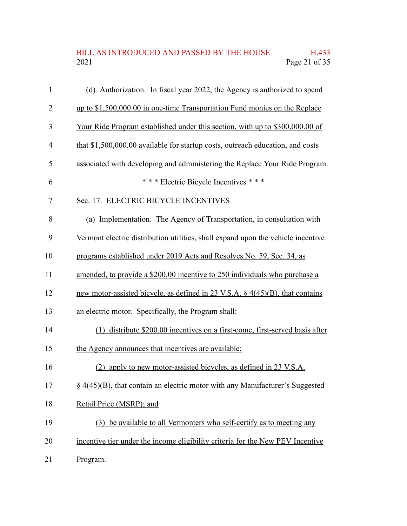## BILL AS INTRODUCED AND PASSED BY THE HOUSE H.433<br>2021 Page 21 of 35 Page 21 of 35

| $\mathbf{1}$   | (d) Authorization. In fiscal year 2022, the Agency is authorized to spend        |
|----------------|----------------------------------------------------------------------------------|
| $\overline{2}$ | up to \$1,500,000.00 in one-time Transportation Fund monies on the Replace       |
| 3              | Your Ride Program established under this section, with up to \$300,000.00 of     |
| 4              | that $$1,500,000.00$ available for startup costs, outreach education, and costs  |
| 5              | associated with developing and administering the Replace Your Ride Program.      |
| 6              | *** Electric Bicycle Incentives ***                                              |
| 7              | Sec. 17. ELECTRIC BICYCLE INCENTIVES                                             |
| 8              | (a) Implementation. The Agency of Transportation, in consultation with           |
| 9              | Vermont electric distribution utilities, shall expand upon the vehicle incentive |
| 10             | programs established under 2019 Acts and Resolves No. 59, Sec. 34, as            |
| 11             | amended, to provide a \$200.00 incentive to 250 individuals who purchase a       |
| 12             | new motor-assisted bicycle, as defined in 23 V.S.A. $\S$ 4(45)(B), that contains |
| 13             | an electric motor. Specifically, the Program shall:                              |
| 14             | (1) distribute \$200.00 incentives on a first-come, first-served basis after     |
| 15             | the Agency announces that incentives are available;                              |
| 16             | (2) apply to new motor-assisted bicycles, as defined in 23 V.S.A.                |
| 17             | § 4(45)(B), that contain an electric motor with any Manufacturer's Suggested     |
| 18             | Retail Price (MSRP); and                                                         |
| 19             | (3) be available to all Vermonters who self-certify as to meeting any            |
| 20             | incentive tier under the income eligibility criteria for the New PEV Incentive   |
| 21             | Program.                                                                         |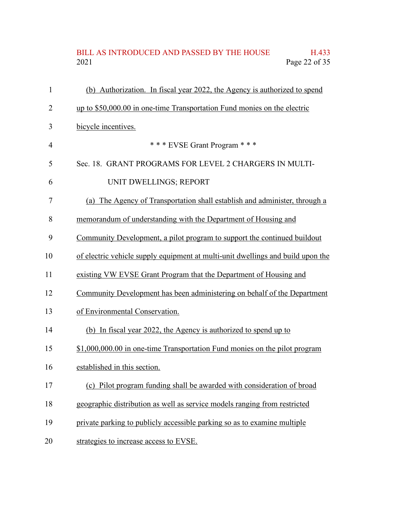# BILL AS INTRODUCED AND PASSED BY THE HOUSE H.433<br>2021 Page 22 of 35 Page 22 of 35

| $\mathbf{1}$   | (b) Authorization. In fiscal year 2022, the Agency is authorized to spend       |
|----------------|---------------------------------------------------------------------------------|
| $\overline{2}$ | up to \$50,000.00 in one-time Transportation Fund monies on the electric        |
| 3              | bicycle incentives.                                                             |
| $\overline{4}$ | *** EVSE Grant Program ***                                                      |
| 5              | Sec. 18. GRANT PROGRAMS FOR LEVEL 2 CHARGERS IN MULTI-                          |
| 6              | UNIT DWELLINGS; REPORT                                                          |
| 7              | (a) The Agency of Transportation shall establish and administer, through a      |
| 8              | memorandum of understanding with the Department of Housing and                  |
| 9              | Community Development, a pilot program to support the continued buildout        |
| 10             | of electric vehicle supply equipment at multi-unit dwellings and build upon the |
| 11             | existing VW EVSE Grant Program that the Department of Housing and               |
| 12             | Community Development has been administering on behalf of the Department        |
| 13             | of Environmental Conservation.                                                  |
| 14             | (b) In fiscal year 2022, the Agency is authorized to spend up to                |
| 15             | \$1,000,000.00 in one-time Transportation Fund monies on the pilot program      |
| 16             | established in this section.                                                    |
| 17             | (c) Pilot program funding shall be awarded with consideration of broad          |
| 18             | geographic distribution as well as service models ranging from restricted       |
| 19             | private parking to publicly accessible parking so as to examine multiple        |
| 20             | strategies to increase access to EVSE.                                          |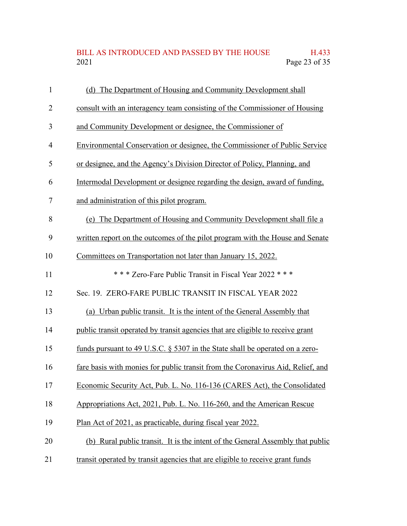## BILL AS INTRODUCED AND PASSED BY THE HOUSE H.433<br>2021 Page 23 of 35 Page 23 of 35

| $\mathbf{1}$   | (d) The Department of Housing and Community Development shall                   |
|----------------|---------------------------------------------------------------------------------|
| $\overline{2}$ | consult with an interagency team consisting of the Commissioner of Housing      |
| 3              | and Community Development or designee, the Commissioner of                      |
| $\overline{4}$ | Environmental Conservation or designee, the Commissioner of Public Service      |
| 5              | or designee, and the Agency's Division Director of Policy, Planning, and        |
| 6              | Intermodal Development or designee regarding the design, award of funding,      |
| 7              | and administration of this pilot program.                                       |
| 8              | (e) The Department of Housing and Community Development shall file a            |
| 9              | written report on the outcomes of the pilot program with the House and Senate   |
| 10             | Committees on Transportation not later than January 15, 2022.                   |
| 11             | *** Zero-Fare Public Transit in Fiscal Year 2022 ***                            |
| 12             | Sec. 19. ZERO-FARE PUBLIC TRANSIT IN FISCAL YEAR 2022                           |
| 13             | (a) Urban public transit. It is the intent of the General Assembly that         |
| 14             | public transit operated by transit agencies that are eligible to receive grant  |
| 15             | funds pursuant to 49 U.S.C. § 5307 in the State shall be operated on a zero-    |
| 16             | fare basis with monies for public transit from the Coronavirus Aid, Relief, and |
| 17             | Economic Security Act, Pub. L. No. 116-136 (CARES Act), the Consolidated        |
| 18             | Appropriations Act, 2021, Pub. L. No. 116-260, and the American Rescue          |
| 19             | Plan Act of 2021, as practicable, during fiscal year 2022.                      |
| 20             | (b) Rural public transit. It is the intent of the General Assembly that public  |
| 21             | transit operated by transit agencies that are eligible to receive grant funds   |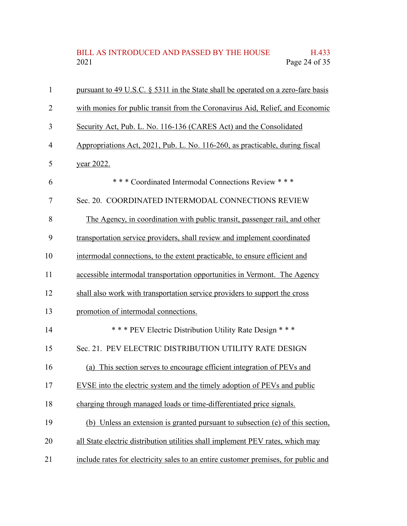BILL AS INTRODUCED AND PASSED BY THE HOUSE H.433<br>2021 Page 24 of 35 Page 24 of 35

| $\mathbf{1}$   | pursuant to 49 U.S.C. § 5311 in the State shall be operated on a zero-fare basis   |
|----------------|------------------------------------------------------------------------------------|
| 2              | with monies for public transit from the Coronavirus Aid, Relief, and Economic      |
| 3              | Security Act, Pub. L. No. 116-136 (CARES Act) and the Consolidated                 |
| $\overline{4}$ | Appropriations Act, 2021, Pub. L. No. 116-260, as practicable, during fiscal       |
| 5              | year 2022.                                                                         |
| 6              | *** Coordinated Intermodal Connections Review ***                                  |
| $\overline{7}$ | Sec. 20. COORDINATED INTERMODAL CONNECTIONS REVIEW                                 |
| 8              | The Agency, in coordination with public transit, passenger rail, and other         |
| 9              | transportation service providers, shall review and implement coordinated           |
| 10             | intermodal connections, to the extent practicable, to ensure efficient and         |
| 11             | accessible intermodal transportation opportunities in Vermont. The Agency          |
| 12             | shall also work with transportation service providers to support the cross         |
| 13             | promotion of intermodal connections.                                               |
| 14             | *** PEV Electric Distribution Utility Rate Design ***                              |
| 15             | Sec. 21. PEV ELECTRIC DISTRIBUTION UTILITY RATE DESIGN                             |
| 16             | (a) This section serves to encourage efficient integration of PEVs and             |
| 17             | EVSE into the electric system and the timely adoption of PEVs and public           |
| 18             | charging through managed loads or time-differentiated price signals.               |
| 19             | (b) Unless an extension is granted pursuant to subsection (e) of this section,     |
| 20             | all State electric distribution utilities shall implement PEV rates, which may     |
| 21             | include rates for electricity sales to an entire customer premises, for public and |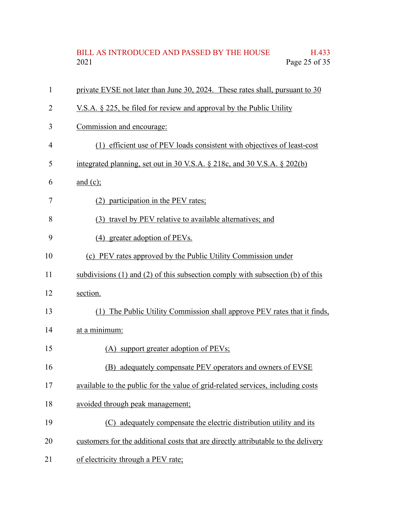# BILL AS INTRODUCED AND PASSED BY THE HOUSE H.433<br>2021 Page 25 of 35 Page 25 of 35

| $\mathbf{1}$   | private EVSE not later than June 30, 2024. These rates shall, pursuant to 30         |
|----------------|--------------------------------------------------------------------------------------|
| $\overline{2}$ | V.S.A. § 225, be filed for review and approval by the Public Utility                 |
| 3              | Commission and encourage:                                                            |
| 4              | (1) efficient use of PEV loads consistent with objectives of least-cost              |
| 5              | integrated planning, set out in 30 V.S.A. § 218c, and 30 V.S.A. § 202(b)             |
| 6              | and $(c)$ ;                                                                          |
| 7              | (2) participation in the PEV rates;                                                  |
| 8              | (3) travel by PEV relative to available alternatives; and                            |
| 9              | (4) greater adoption of PEVs.                                                        |
| 10             | (c) PEV rates approved by the Public Utility Commission under                        |
| 11             | subdivisions $(1)$ and $(2)$ of this subsection comply with subsection $(b)$ of this |
| 12             | section.                                                                             |
| 13             | (1) The Public Utility Commission shall approve PEV rates that it finds,             |
| 14             | at a minimum:                                                                        |
| 15             | (A) support greater adoption of PEVs;                                                |
| 16             | (B) adequately compensate PEV operators and owners of EVSE                           |
| 17             | available to the public for the value of grid-related services, including costs      |
| 18             | avoided through peak management;                                                     |
| 19             | adequately compensate the electric distribution utility and its<br>(C)               |
| 20             | customers for the additional costs that are directly attributable to the delivery    |
| 21             | of electricity through a PEV rate;                                                   |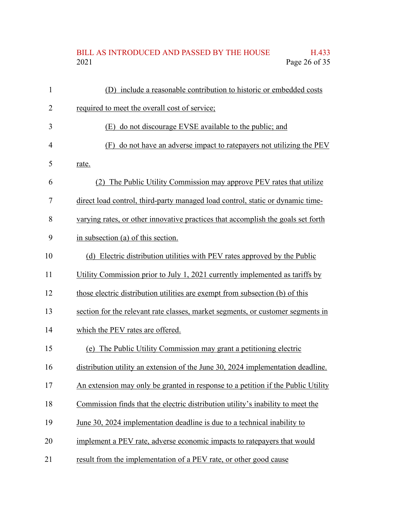# BILL AS INTRODUCED AND PASSED BY THE HOUSE H.433<br>2021 Page 26 of 35 Page 26 of 35

| 1              | (D) include a reasonable contribution to historic or embedded costs              |
|----------------|----------------------------------------------------------------------------------|
| $\overline{2}$ | required to meet the overall cost of service;                                    |
| 3              | (E) do not discourage EVSE available to the public; and                          |
| 4              | (F) do not have an adverse impact to ratepayers not utilizing the PEV            |
| 5              | rate.                                                                            |
| 6              | (2) The Public Utility Commission may approve PEV rates that utilize             |
| 7              | direct load control, third-party managed load control, static or dynamic time-   |
| 8              | varying rates, or other innovative practices that accomplish the goals set forth |
| 9              | in subsection (a) of this section.                                               |
| 10             | (d) Electric distribution utilities with PEV rates approved by the Public        |
| 11             | Utility Commission prior to July 1, 2021 currently implemented as tariffs by     |
| 12             | those electric distribution utilities are exempt from subsection (b) of this     |
| 13             | section for the relevant rate classes, market segments, or customer segments in  |
| 14             | which the PEV rates are offered.                                                 |
| 15             | (e) The Public Utility Commission may grant a petitioning electric               |
| 16             | distribution utility an extension of the June 30, 2024 implementation deadline.  |
| 17             | An extension may only be granted in response to a petition if the Public Utility |
| 18             | Commission finds that the electric distribution utility's inability to meet the  |
| 19             | June 30, 2024 implementation deadline is due to a technical inability to         |
| 20             | implement a PEV rate, adverse economic impacts to ratepayers that would          |
| 21             | result from the implementation of a PEV rate, or other good cause                |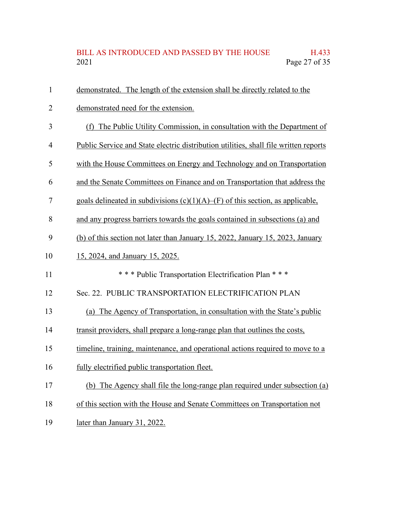| $\mathbf{1}$   | demonstrated. The length of the extension shall be directly related to the           |
|----------------|--------------------------------------------------------------------------------------|
| $\overline{2}$ | demonstrated need for the extension.                                                 |
| 3              | (f) The Public Utility Commission, in consultation with the Department of            |
| $\overline{4}$ | Public Service and State electric distribution utilities, shall file written reports |
| 5              | with the House Committees on Energy and Technology and on Transportation             |
| 6              | and the Senate Committees on Finance and on Transportation that address the          |
| 7              | goals delineated in subdivisions $(c)(1)(A)$ –(F) of this section, as applicable,    |
| 8              | and any progress barriers towards the goals contained in subsections (a) and         |
| 9              | (b) of this section not later than January 15, 2022, January 15, 2023, January       |
| 10             | 15, 2024, and January 15, 2025.                                                      |
| 11             | *** Public Transportation Electrification Plan ***                                   |
| 12             | Sec. 22. PUBLIC TRANSPORTATION ELECTRIFICATION PLAN                                  |
| 13             | (a) The Agency of Transportation, in consultation with the State's public            |
| 14             | transit providers, shall prepare a long-range plan that outlines the costs,          |
| 15             | timeline, training, maintenance, and operational actions required to move to a       |
| 16             | fully electrified public transportation fleet.                                       |
| 17             | (b) The Agency shall file the long-range plan required under subsection (a)          |
| 18             | of this section with the House and Senate Committees on Transportation not           |
| 19             | later than January 31, 2022.                                                         |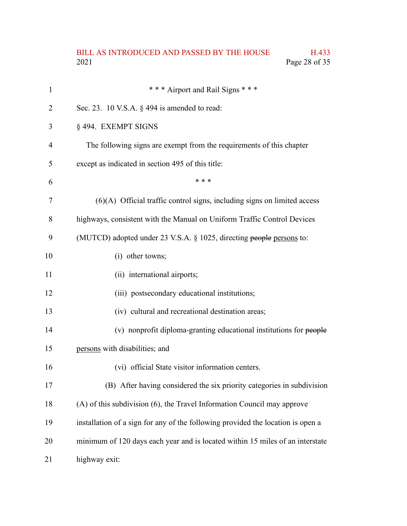# BILL AS INTRODUCED AND PASSED BY THE HOUSE H.433<br>2021 Page 28 of 35 Page 28 of 35

| $\mathbf{1}$ | *** Airport and Rail Signs ***                                                  |
|--------------|---------------------------------------------------------------------------------|
| 2            | Sec. 23. 10 V.S.A. $\S$ 494 is amended to read:                                 |
| 3            | §494. EXEMPT SIGNS                                                              |
| 4            | The following signs are exempt from the requirements of this chapter            |
| 5            | except as indicated in section 495 of this title:                               |
| 6            | * * *                                                                           |
| 7            | $(6)(A)$ Official traffic control signs, including signs on limited access      |
| 8            | highways, consistent with the Manual on Uniform Traffic Control Devices         |
| 9            | (MUTCD) adopted under 23 V.S.A. § 1025, directing people persons to:            |
| 10           | (i) other towns;                                                                |
| 11           | (ii) international airports;                                                    |
| 12           | (iii) postsecondary educational institutions;                                   |
| 13           | (iv) cultural and recreational destination areas;                               |
| 14           | (v) nonprofit diploma-granting educational institutions for people              |
| 15           | persons with disabilities; and                                                  |
| 16           | (vi) official State visitor information centers.                                |
| 17           | (B) After having considered the six priority categories in subdivision          |
| 18           | (A) of this subdivision (6), the Travel Information Council may approve         |
| 19           | installation of a sign for any of the following provided the location is open a |
| 20           | minimum of 120 days each year and is located within 15 miles of an interstate   |
| 21           | highway exit:                                                                   |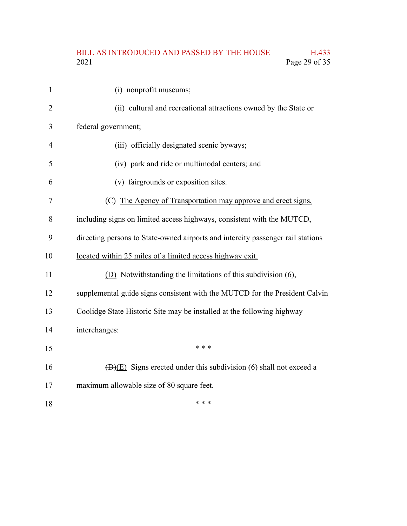# BILL AS INTRODUCED AND PASSED BY THE HOUSE H.433<br>2021 Page 29 of 35 Page 29 of 35

| $\mathbf{1}$   | (i) nonprofit museums;                                                          |
|----------------|---------------------------------------------------------------------------------|
| $\overline{2}$ | (ii) cultural and recreational attractions owned by the State or                |
| 3              | federal government;                                                             |
| 4              | (iii) officially designated scenic byways;                                      |
| 5              | (iv) park and ride or multimodal centers; and                                   |
| 6              | (v) fairgrounds or exposition sites.                                            |
| 7              | (C) The Agency of Transportation may approve and erect signs,                   |
| 8              | including signs on limited access highways, consistent with the MUTCD,          |
| 9              | directing persons to State-owned airports and intercity passenger rail stations |
| 10             | located within 25 miles of a limited access highway exit.                       |
| 11             | (D) Notwithstanding the limitations of this subdivision (6),                    |
| 12             | supplemental guide signs consistent with the MUTCD for the President Calvin     |
| 13             | Coolidge State Historic Site may be installed at the following highway          |
| 14             | interchanges:                                                                   |
| 15             | * * *                                                                           |
| 16             | $(\overline{D})(E)$ Signs erected under this subdivision (6) shall not exceed a |
| 17             | maximum allowable size of 80 square feet.                                       |
| 18             | * * *                                                                           |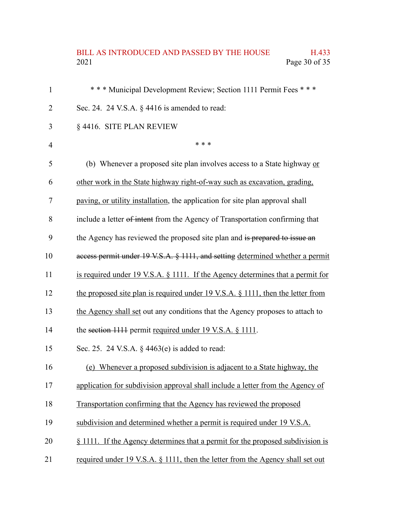## BILL AS INTRODUCED AND PASSED BY THE HOUSE H.433<br>2021 Page 30 of 35 Page 30 of 35

| $\mathbf{1}$   | *** Municipal Development Review; Section 1111 Permit Fees ***                       |
|----------------|--------------------------------------------------------------------------------------|
| $\overline{2}$ | Sec. 24. 24 V.S.A. $\S$ 4416 is amended to read:                                     |
| 3              | §4416. SITE PLAN REVIEW                                                              |
| $\overline{4}$ | * * *                                                                                |
| 5              | (b) Whenever a proposed site plan involves access to a State highway or              |
| 6              | other work in the State highway right-of-way such as excavation, grading,            |
| $\tau$         | paving, or utility installation, the application for site plan approval shall        |
| 8              | include a letter of intent from the Agency of Transportation confirming that         |
| 9              | the Agency has reviewed the proposed site plan and is prepared to issue an           |
| 10             | access permit under 19 V.S.A. § 1111, and setting determined whether a permit        |
| 11             | is required under 19 V.S.A. § 1111. If the Agency determines that a permit for       |
| 12             | the proposed site plan is required under $19$ V.S.A. $\S$ 1111, then the letter from |
| 13             | the Agency shall set out any conditions that the Agency proposes to attach to        |
| 14             | the section 1111 permit required under 19 V.S.A. § 1111.                             |
| 15             | Sec. 25. 24 V.S.A. § 4463(e) is added to read:                                       |
| 16             | (e) Whenever a proposed subdivision is adjacent to a State highway, the              |
| 17             | application for subdivision approval shall include a letter from the Agency of       |
| 18             | Transportation confirming that the Agency has reviewed the proposed                  |
| 19             | subdivision and determined whether a permit is required under 19 V.S.A.              |
| 20             | § 1111. If the Agency determines that a permit for the proposed subdivision is       |
| 21             | required under 19 V.S.A. § 1111, then the letter from the Agency shall set out       |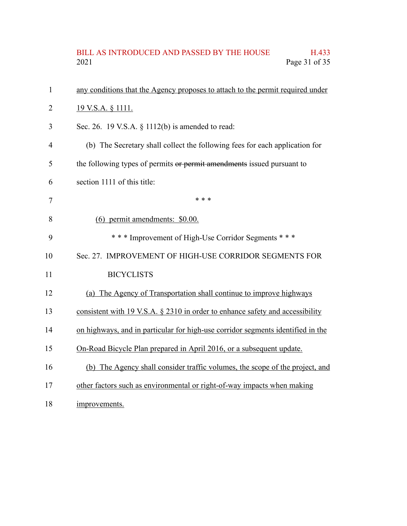| BILL AS INTRODUCED AND PASSED BY THE HOUSE | H.433         |
|--------------------------------------------|---------------|
| 2021                                       | Page 31 of 35 |

| $\mathbf{1}$   | any conditions that the Agency proposes to attach to the permit required under  |
|----------------|---------------------------------------------------------------------------------|
| $\overline{2}$ | 19 V.S.A. § 1111.                                                               |
| 3              | Sec. 26. 19 V.S.A. § 1112(b) is amended to read:                                |
| $\overline{4}$ | (b) The Secretary shall collect the following fees for each application for     |
| 5              | the following types of permits or permit amendments issued pursuant to          |
| 6              | section 1111 of this title:                                                     |
| $\tau$         | * * *                                                                           |
| 8              | (6) permit amendments: \$0.00.                                                  |
| 9              | *** Improvement of High-Use Corridor Segments ***                               |
| 10             | Sec. 27. IMPROVEMENT OF HIGH-USE CORRIDOR SEGMENTS FOR                          |
| 11             | <b>BICYCLISTS</b>                                                               |
| 12             | (a) The Agency of Transportation shall continue to improve highways             |
| 13             | consistent with 19 V.S.A. § 2310 in order to enhance safety and accessibility   |
| 14             | on highways, and in particular for high-use corridor segments identified in the |
| 15             | On-Road Bicycle Plan prepared in April 2016, or a subsequent update.            |
| 16             | (b) The Agency shall consider traffic volumes, the scope of the project, and    |
| 17             | other factors such as environmental or right-of-way impacts when making         |
| 18             | improvements.                                                                   |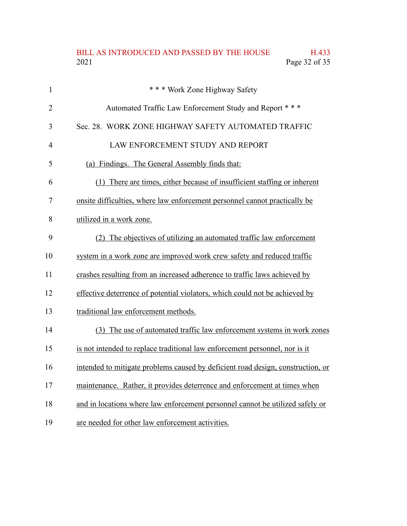## BILL AS INTRODUCED AND PASSED BY THE HOUSE H.433<br>2021 Page 32 of 35 Page 32 of 35

| $\mathbf{1}$   | *** Work Zone Highway Safety                                                    |
|----------------|---------------------------------------------------------------------------------|
| $\overline{2}$ | Automated Traffic Law Enforcement Study and Report ***                          |
| 3              | Sec. 28. WORK ZONE HIGHWAY SAFETY AUTOMATED TRAFFIC                             |
| $\overline{4}$ | LAW ENFORCEMENT STUDY AND REPORT                                                |
| 5              | (a) Findings. The General Assembly finds that:                                  |
| 6              | (1) There are times, either because of insufficient staffing or inherent        |
| 7              | onsite difficulties, where law enforcement personnel cannot practically be      |
| 8              | utilized in a work zone.                                                        |
| 9              | (2) The objectives of utilizing an automated traffic law enforcement            |
| 10             | system in a work zone are improved work crew safety and reduced traffic         |
| 11             | crashes resulting from an increased adherence to traffic laws achieved by       |
| 12             | effective deterrence of potential violators, which could not be achieved by     |
| 13             | traditional law enforcement methods.                                            |
| 14             | (3) The use of automated traffic law enforcement systems in work zones          |
| 15             | is not intended to replace traditional law enforcement personnel, nor is it     |
| 16             | intended to mitigate problems caused by deficient road design, construction, or |
| 17             | maintenance. Rather, it provides deterrence and enforcement at times when       |
| 18             | and in locations where law enforcement personnel cannot be utilized safely or   |
| 19             | are needed for other law enforcement activities.                                |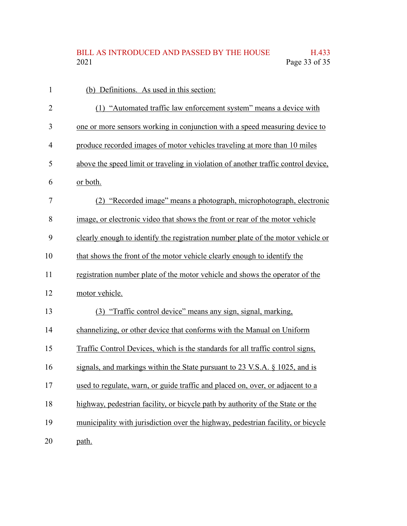# BILL AS INTRODUCED AND PASSED BY THE HOUSE H.433<br>2021 Page 33 of 35 Page 33 of 35

| $\mathbf{1}$   | (b) Definitions. As used in this section:                                          |
|----------------|------------------------------------------------------------------------------------|
| 2              | (1) "Automated traffic law enforcement system" means a device with                 |
| 3              | one or more sensors working in conjunction with a speed measuring device to        |
| $\overline{4}$ | produce recorded images of motor vehicles traveling at more than 10 miles          |
| 5              | above the speed limit or traveling in violation of another traffic control device, |
| 6              | or both.                                                                           |
| 7              | (2) "Recorded image" means a photograph, microphotograph, electronic               |
| 8              | image, or electronic video that shows the front or rear of the motor vehicle       |
| 9              | clearly enough to identify the registration number plate of the motor vehicle or   |
| 10             | that shows the front of the motor vehicle clearly enough to identify the           |
| 11             | registration number plate of the motor vehicle and shows the operator of the       |
| 12             | motor vehicle.                                                                     |
| 13             | (3) "Traffic control device" means any sign, signal, marking,                      |
| 14             | channelizing, or other device that conforms with the Manual on Uniform             |
| 15             | Traffic Control Devices, which is the standards for all traffic control signs,     |
| 16             | signals, and markings within the State pursuant to 23 V.S.A. $\S$ 1025, and is     |
| 17             | used to regulate, warn, or guide traffic and placed on, over, or adjacent to a     |
| 18             | highway, pedestrian facility, or bicycle path by authority of the State or the     |
| 19             | municipality with jurisdiction over the highway, pedestrian facility, or bicycle   |
| 20             | path.                                                                              |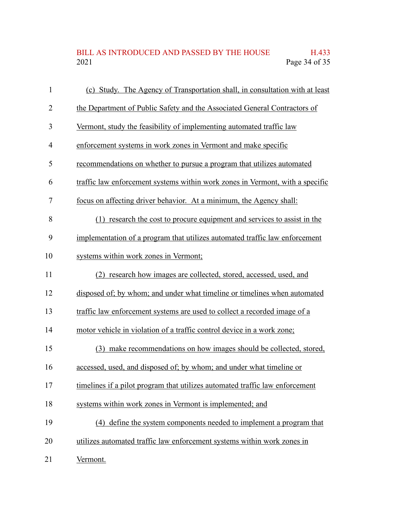BILL AS INTRODUCED AND PASSED BY THE HOUSE H.433<br>2021 Page 34 of 35 Page 34 of 35

| 1              | (c) Study. The Agency of Transportation shall, in consultation with at least  |
|----------------|-------------------------------------------------------------------------------|
| $\overline{2}$ | the Department of Public Safety and the Associated General Contractors of     |
| 3              | Vermont, study the feasibility of implementing automated traffic law          |
| $\overline{4}$ | enforcement systems in work zones in Vermont and make specific                |
| 5              | recommendations on whether to pursue a program that utilizes automated        |
| 6              | traffic law enforcement systems within work zones in Vermont, with a specific |
| $\tau$         | focus on affecting driver behavior. At a minimum, the Agency shall:           |
| 8              | (1) research the cost to procure equipment and services to assist in the      |
| 9              | implementation of a program that utilizes automated traffic law enforcement   |
| 10             | systems within work zones in Vermont;                                         |
| 11             | (2) research how images are collected, stored, accessed, used, and            |
| 12             | disposed of; by whom; and under what timeline or timelines when automated     |
| 13             | traffic law enforcement systems are used to collect a recorded image of a     |
| 14             | motor vehicle in violation of a traffic control device in a work zone;        |
| 15             | (3) make recommendations on how images should be collected, stored,           |
| 16             | accessed, used, and disposed of; by whom; and under what timeline or          |
| 17             | timelines if a pilot program that utilizes automated traffic law enforcement  |
| 18             | systems within work zones in Vermont is implemented; and                      |
| 19             | (4) define the system components needed to implement a program that           |
| 20             | utilizes automated traffic law enforcement systems within work zones in       |
| 21             | Vermont.                                                                      |